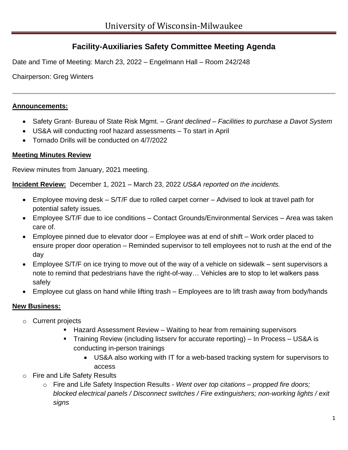# **Facility-Auxiliaries Safety Committee Meeting Agenda**

Date and Time of Meeting: March 23, 2022 – Engelmann Hall – Room 242/248

Chairperson: Greg Winters

#### **Announcements:**

- Safety Grant- Bureau of State Risk Mgmt. *– Grant declined – Facilities to purchase a Davot System*
- US&A will conducting roof hazard assessments To start in April
- Tornado Drills will be conducted on 4/7/2022

### **Meeting Minutes Review**

Review minutes from January, 2021 meeting.

**Incident Review:** December 1, 2021 – March 23, 2022 *US&A reported on the incidents.* 

- Employee moving desk S/T/F due to rolled carpet corner Advised to look at travel path for potential safety issues.
- Employee S/T/F due to ice conditions Contact Grounds/Environmental Services Area was taken care of.
- Employee pinned due to elevator door Employee was at end of shift Work order placed to ensure proper door operation – Reminded supervisor to tell employees not to rush at the end of the day
- Employee S/T/F on ice trying to move out of the way of a vehicle on sidewalk sent supervisors a note to remind that pedestrians have the right-of-way… Vehicles are to stop to let walkers pass safely
- Employee cut glass on hand while lifting trash Employees are to lift trash away from body/hands

# **New Business:**

- o Current projects
	- Hazard Assessment Review Waiting to hear from remaining supervisors
	- Training Review (including listserv for accurate reporting) In Process US&A is conducting in-person trainings
		- US&A also working with IT for a web-based tracking system for supervisors to access
- o Fire and Life Safety Results
	- o Fire and Life Safety Inspection Results *Went over top citations – propped fire doors; blocked electrical panels / Disconnect switches / Fire extinguishers; non-working lights / exit signs*